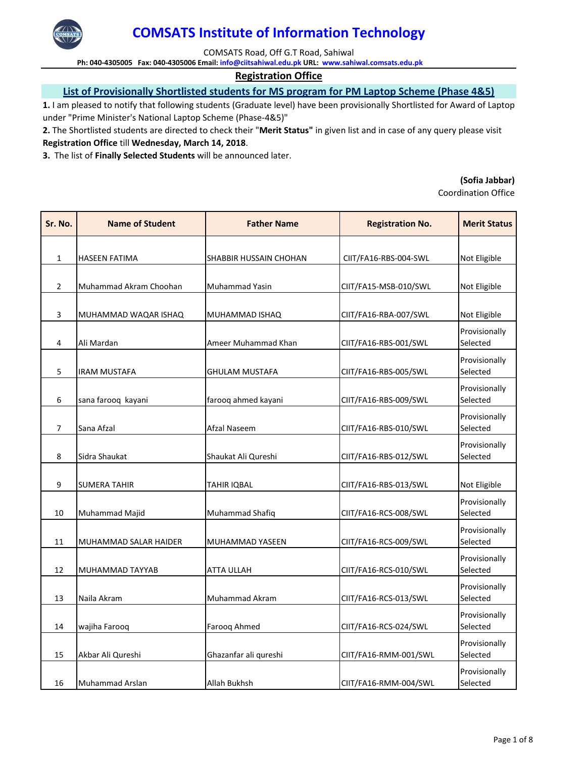

COMSATS Road, Off G.T Road, Sahiwal

**Ph: 040‐4305005 Fax: 040‐4305006 Email: info@ciitsahiwal.edu.pk URL: www.sahiwal.comsats.edu.pk**

### **Registration Office**

## **List of Provisionally Shortlisted students for MS program for PM Laptop Scheme (Phase 4&5)**

**1.** I am pleased to notify that following students (Graduate level) have been provisionally Shortlisted for Award of Laptop under "Prime Minister's National Laptop Scheme (Phase‐4&5)"

**2.** The Shortlisted students are directed to check their "**Merit Status"** in given list and in case of any query please visit **Registration Office** till **Wednesday, March 14, 2018**.

**3.** The list of **Finally Selected Students** will be announced later.

#### **(Sofia Jabbar)**

| Sr. No.        | <b>Name of Student</b> | <b>Father Name</b>     | <b>Registration No.</b> | <b>Merit Status</b>       |
|----------------|------------------------|------------------------|-------------------------|---------------------------|
|                |                        |                        |                         |                           |
| $\mathbf{1}$   | HASEEN FATIMA          | SHABBIR HUSSAIN CHOHAN | CIIT/FA16-RBS-004-SWL   | Not Eligible              |
| $\overline{2}$ | Muhammad Akram Choohan | Muhammad Yasin         | CIIT/FA15-MSB-010/SWL   | Not Eligible              |
| 3              | MUHAMMAD WAQAR ISHAQ   | MUHAMMAD ISHAQ         | CIIT/FA16-RBA-007/SWL   | Not Eligible              |
| 4              | Ali Mardan             | Ameer Muhammad Khan    | CIIT/FA16-RBS-001/SWL   | Provisionally<br>Selected |
| 5              | IRAM MUSTAFA           | <b>GHULAM MUSTAFA</b>  | CIIT/FA16-RBS-005/SWL   | Provisionally<br>Selected |
| 6              | sana farooq kayani     | farooq ahmed kayani    | CIIT/FA16-RBS-009/SWL   | Provisionally<br>Selected |
| 7              | Sana Afzal             | Afzal Naseem           | CIIT/FA16-RBS-010/SWL   | Provisionally<br>Selected |
| 8              | Sidra Shaukat          | Shaukat Ali Qureshi    | CIIT/FA16-RBS-012/SWL   | Provisionally<br>Selected |
| 9              | <b>SUMERA TAHIR</b>    | <b>TAHIR IQBAL</b>     | CIIT/FA16-RBS-013/SWL   | Not Eligible              |
| 10             | Muhammad Majid         | Muhammad Shafiq        | CIIT/FA16-RCS-008/SWL   | Provisionally<br>Selected |
| 11             | MUHAMMAD SALAR HAIDER  | MUHAMMAD YASEEN        | CIIT/FA16-RCS-009/SWL   | Provisionally<br>Selected |
| 12             | MUHAMMAD TAYYAB        | <b>ATTA ULLAH</b>      | CIIT/FA16-RCS-010/SWL   | Provisionally<br>Selected |
| 13             | Naila Akram            | Muhammad Akram         | CIIT/FA16-RCS-013/SWL   | Provisionally<br>Selected |
| 14             | wajiha Farooq          | Farooq Ahmed           | CIIT/FA16-RCS-024/SWL   | Provisionally<br>Selected |
| 15             | Akbar Ali Qureshi      | Ghazanfar ali qureshi  | CIIT/FA16-RMM-001/SWL   | Provisionally<br>Selected |
| 16             | Muhammad Arslan        | Allah Bukhsh           | CIIT/FA16-RMM-004/SWL   | Provisionally<br>Selected |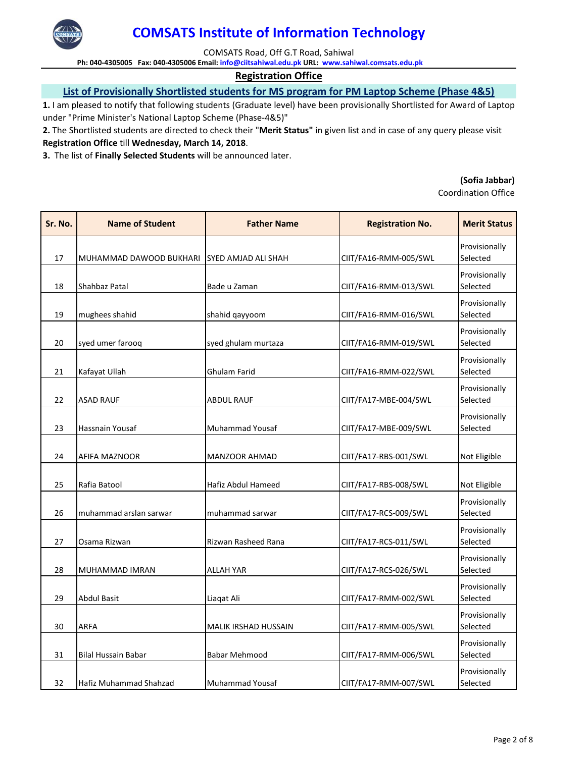

COMSATS Road, Off G.T Road, Sahiwal

**Ph: 040‐4305005 Fax: 040‐4305006 Email: info@ciitsahiwal.edu.pk URL: www.sahiwal.comsats.edu.pk**

### **Registration Office**

## **List of Provisionally Shortlisted students for MS program for PM Laptop Scheme (Phase 4&5)**

**1.** I am pleased to notify that following students (Graduate level) have been provisionally Shortlisted for Award of Laptop under "Prime Minister's National Laptop Scheme (Phase‐4&5)"

**2.** The Shortlisted students are directed to check their "**Merit Status"** in given list and in case of any query please visit **Registration Office** till **Wednesday, March 14, 2018**.

**3.** The list of **Finally Selected Students** will be announced later.

#### **(Sofia Jabbar)**

| Sr. No. | <b>Name of Student</b>  | <b>Father Name</b>          | <b>Registration No.</b> | <b>Merit Status</b>       |
|---------|-------------------------|-----------------------------|-------------------------|---------------------------|
| 17      | MUHAMMAD DAWOOD BUKHARI | <b>SYED AMJAD ALI SHAH</b>  | CIIT/FA16-RMM-005/SWL   | Provisionally<br>Selected |
| 18      | Shahbaz Patal           | Bade u Zaman                | CIIT/FA16-RMM-013/SWL   | Provisionally<br>Selected |
| 19      | mughees shahid          | shahid qayyoom              | CIIT/FA16-RMM-016/SWL   | Provisionally<br>Selected |
| 20      | syed umer farooq        | syed ghulam murtaza         | CIIT/FA16-RMM-019/SWL   | Provisionally<br>Selected |
| 21      | Kafayat Ullah           | Ghulam Farid                | CIIT/FA16-RMM-022/SWL   | Provisionally<br>Selected |
| 22      | <b>ASAD RAUF</b>        | <b>ABDUL RAUF</b>           | CIIT/FA17-MBE-004/SWL   | Provisionally<br>Selected |
| 23      | Hassnain Yousaf         | <b>Muhammad Yousaf</b>      | CIIT/FA17-MBE-009/SWL   | Provisionally<br>Selected |
| 24      | AFIFA MAZNOOR           | <b>MANZOOR AHMAD</b>        | CIIT/FA17-RBS-001/SWL   | Not Eligible              |
| 25      | Rafia Batool            | Hafiz Abdul Hameed          | CIIT/FA17-RBS-008/SWL   | Not Eligible              |
| 26      | muhammad arslan sarwar  | muhammad sarwar             | CIIT/FA17-RCS-009/SWL   | Provisionally<br>Selected |
| 27      | Osama Rizwan            | Rizwan Rasheed Rana         | CIIT/FA17-RCS-011/SWL   | Provisionally<br>Selected |
| 28      | MUHAMMAD IMRAN          | <b>ALLAH YAR</b>            | CIIT/FA17-RCS-026/SWL   | Provisionally<br>Selected |
| 29      | <b>Abdul Basit</b>      | Liaqat Ali                  | CIIT/FA17-RMM-002/SWL   | Provisionally<br>Selected |
| 30      | <b>ARFA</b>             | <b>MALIK IRSHAD HUSSAIN</b> | CIIT/FA17-RMM-005/SWL   | Provisionally<br>Selected |
| 31      | Bilal Hussain Babar     | <b>Babar Mehmood</b>        | CIIT/FA17-RMM-006/SWL   | Provisionally<br>Selected |
| 32      | Hafiz Muhammad Shahzad  | Muhammad Yousaf             | CIIT/FA17-RMM-007/SWL   | Provisionally<br>Selected |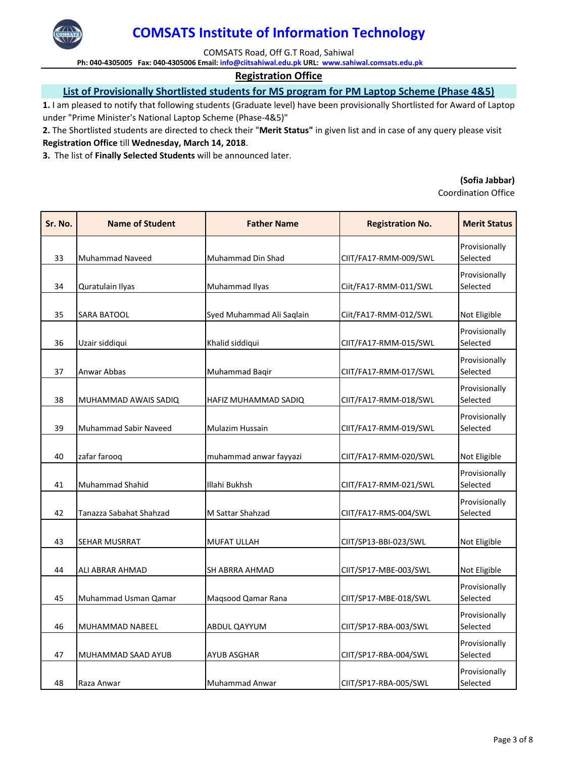

COMSATS Road, Off G.T Road, Sahiwal

**Ph: 040‐4305005 Fax: 040‐4305006 Email: info@ciitsahiwal.edu.pk URL: www.sahiwal.comsats.edu.pk**

### **Registration Office**

## **List of Provisionally Shortlisted students for MS program for PM Laptop Scheme (Phase 4&5)**

**1.** I am pleased to notify that following students (Graduate level) have been provisionally Shortlisted for Award of Laptop under "Prime Minister's National Laptop Scheme (Phase‐4&5)"

**2.** The Shortlisted students are directed to check their "**Merit Status"** in given list and in case of any query please visit **Registration Office** till **Wednesday, March 14, 2018**.

**3.** The list of **Finally Selected Students** will be announced later.

#### **(Sofia Jabbar)**

| Sr. No. | <b>Name of Student</b>       | <b>Father Name</b>        | <b>Registration No.</b> | <b>Merit Status</b>       |
|---------|------------------------------|---------------------------|-------------------------|---------------------------|
| 33      | <b>Muhammad Naveed</b>       | Muhammad Din Shad         | CIIT/FA17-RMM-009/SWL   | Provisionally<br>Selected |
| 34      | Quratulain Ilyas             | Muhammad Ilyas            | Ciit/FA17-RMM-011/SWL   | Provisionally<br>Selected |
| 35      | SARA BATOOL                  | Syed Muhammad Ali Saqlain | Ciit/FA17-RMM-012/SWL   | Not Eligible              |
| 36      | Uzair siddiqui               | Khalid siddiqui           | CIIT/FA17-RMM-015/SWL   | Provisionally<br>Selected |
| 37      | Anwar Abbas                  | Muhammad Bagir            | CIIT/FA17-RMM-017/SWL   | Provisionally<br>Selected |
| 38      | MUHAMMAD AWAIS SADIQ         | HAFIZ MUHAMMAD SADIQ      | CIIT/FA17-RMM-018/SWL   | Provisionally<br>Selected |
| 39      | <b>Muhammad Sabir Naveed</b> | <b>Mulazim Hussain</b>    | CIIT/FA17-RMM-019/SWL   | Provisionally<br>Selected |
| 40      | zafar farooq                 | muhammad anwar fayyazi    | CIIT/FA17-RMM-020/SWL   | Not Eligible              |
| 41      | Muhammad Shahid              | Illahi Bukhsh             | CIIT/FA17-RMM-021/SWL   | Provisionally<br>Selected |
| 42      | Tanazza Sabahat Shahzad      | M Sattar Shahzad          | CIIT/FA17-RMS-004/SWL   | Provisionally<br>Selected |
| 43      | SEHAR MUSRRAT                | MUFAT ULLAH               | CIIT/SP13-BBI-023/SWL   | Not Eligible              |
| 44      | ALI ABRAR AHMAD              | SH ABRRA AHMAD            | CIIT/SP17-MBE-003/SWL   | Not Eligible              |
| 45      | Muhammad Usman Qamar         | Maqsood Qamar Rana        | CIIT/SP17-MBE-018/SWL   | Provisionally<br>Selected |
| 46      | MUHAMMAD NABEEL              | ABDUL QAYYUM              | CIIT/SP17-RBA-003/SWL   | Provisionally<br>Selected |
| 47      | MUHAMMAD SAAD AYUB           | <b>AYUB ASGHAR</b>        | CIIT/SP17-RBA-004/SWL   | Provisionally<br>Selected |
| 48      | Raza Anwar                   | Muhammad Anwar            | CIIT/SP17-RBA-005/SWL   | Provisionally<br>Selected |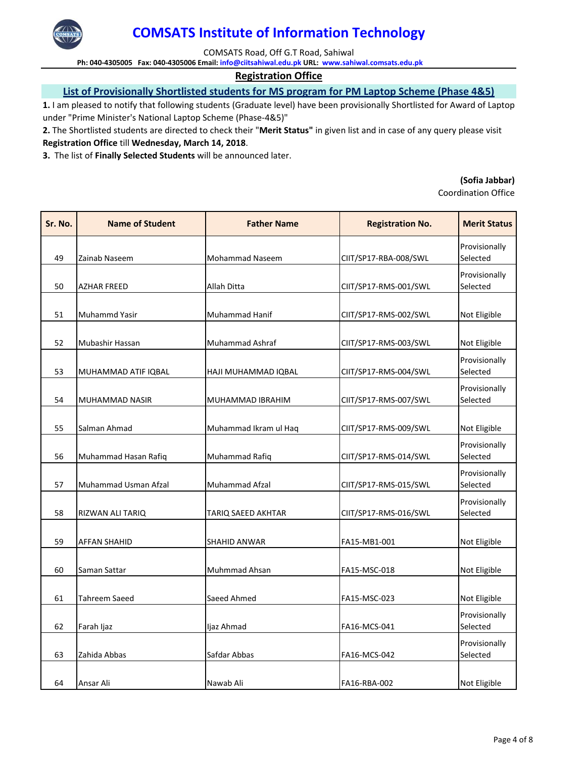

COMSATS Road, Off G.T Road, Sahiwal

**Ph: 040‐4305005 Fax: 040‐4305006 Email: info@ciitsahiwal.edu.pk URL: www.sahiwal.comsats.edu.pk**

### **Registration Office**

## **List of Provisionally Shortlisted students for MS program for PM Laptop Scheme (Phase 4&5)**

**1.** I am pleased to notify that following students (Graduate level) have been provisionally Shortlisted for Award of Laptop under "Prime Minister's National Laptop Scheme (Phase‐4&5)"

**2.** The Shortlisted students are directed to check their "**Merit Status"** in given list and in case of any query please visit **Registration Office** till **Wednesday, March 14, 2018**.

**3.** The list of **Finally Selected Students** will be announced later.

#### **(Sofia Jabbar)**

| Sr. No. | <b>Name of Student</b> | <b>Father Name</b>     | <b>Registration No.</b> | <b>Merit Status</b>       |
|---------|------------------------|------------------------|-------------------------|---------------------------|
| 49      | Zainab Naseem          | <b>Mohammad Naseem</b> | CIIT/SP17-RBA-008/SWL   | Provisionally<br>Selected |
| 50      | <b>AZHAR FREED</b>     | Allah Ditta            | CIIT/SP17-RMS-001/SWL   | Provisionally<br>Selected |
| 51      | Muhammd Yasir          | Muhammad Hanif         | CIIT/SP17-RMS-002/SWL   | Not Eligible              |
| 52      | Mubashir Hassan        | Muhammad Ashraf        | CIIT/SP17-RMS-003/SWL   | Not Eligible              |
| 53      | MUHAMMAD ATIF IQBAL    | HAJI MUHAMMAD IQBAL    | CIIT/SP17-RMS-004/SWL   | Provisionally<br>Selected |
| 54      | MUHAMMAD NASIR         | MUHAMMAD IBRAHIM       | CIIT/SP17-RMS-007/SWL   | Provisionally<br>Selected |
| 55      | Salman Ahmad           | Muhammad Ikram ul Haq  | CIIT/SP17-RMS-009/SWL   | Not Eligible              |
| 56      | Muhammad Hasan Rafiq   | Muhammad Rafiq         | CIIT/SP17-RMS-014/SWL   | Provisionally<br>Selected |
| 57      | Muhammad Usman Afzal   | Muhammad Afzal         | CIIT/SP17-RMS-015/SWL   | Provisionally<br>Selected |
| 58      | RIZWAN ALI TARIQ       | TARIQ SAEED AKHTAR     | CIIT/SP17-RMS-016/SWL   | Provisionally<br>Selected |
| 59      | <b>AFFAN SHAHID</b>    | SHAHID ANWAR           | FA15-MB1-001            | Not Eligible              |
| 60      | Saman Sattar           | Muhmmad Ahsan          | FA15-MSC-018            | Not Eligible              |
| 61      | Tahreem Saeed          | Saeed Ahmed            | FA15-MSC-023            | Not Eligible              |
| 62      | Farah Ijaz             | ljaz Ahmad             | FA16-MCS-041            | Provisionally<br>Selected |
| 63      | Zahida Abbas           | Safdar Abbas           | FA16-MCS-042            | Provisionally<br>Selected |
| 64      | Ansar Ali              | Nawab Ali              | FA16-RBA-002            | Not Eligible              |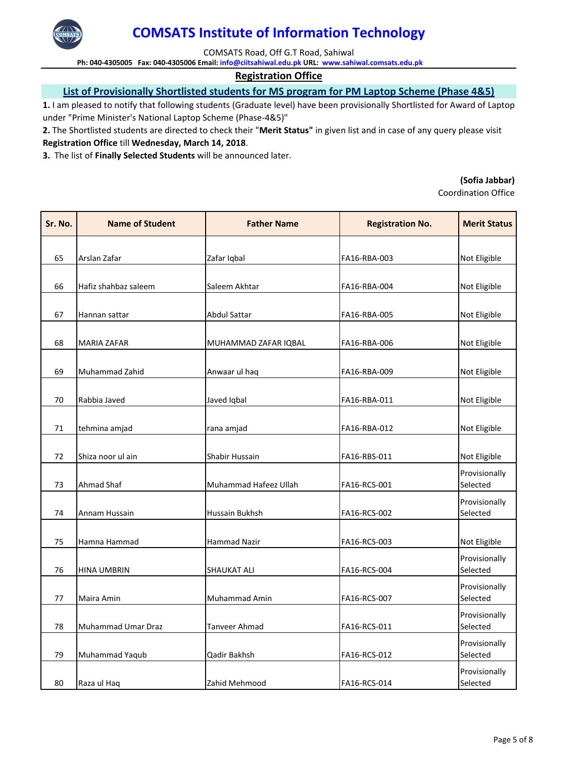

COMSATS Road, Off G.T Road, Sahiwal

**Ph: 040‐4305005 Fax: 040‐4305006 Email: info@ciitsahiwal.edu.pk URL: www.sahiwal.comsats.edu.pk**

### **Registration Office**

## **List of Provisionally Shortlisted students for MS program for PM Laptop Scheme (Phase 4&5)**

**1.** I am pleased to notify that following students (Graduate level) have been provisionally Shortlisted for Award of Laptop under "Prime Minister's National Laptop Scheme (Phase‐4&5)"

**2.** The Shortlisted students are directed to check their "**Merit Status"** in given list and in case of any query please visit **Registration Office** till **Wednesday, March 14, 2018**.

**3.** The list of **Finally Selected Students** will be announced later.

#### **(Sofia Jabbar)**

| Sr. No. | <b>Name of Student</b> | <b>Father Name</b>    | <b>Registration No.</b> | <b>Merit Status</b>       |
|---------|------------------------|-----------------------|-------------------------|---------------------------|
|         |                        |                       |                         |                           |
| 65      | Arslan Zafar           | Zafar Iqbal           | FA16-RBA-003            | Not Eligible              |
| 66      | Hafiz shahbaz saleem   | Saleem Akhtar         | FA16-RBA-004            | Not Eligible              |
| 67      | Hannan sattar          | <b>Abdul Sattar</b>   | FA16-RBA-005            | Not Eligible              |
| 68      | <b>MARIA ZAFAR</b>     | MUHAMMAD ZAFAR IQBAL  | FA16-RBA-006            | Not Eligible              |
| 69      | Muhammad Zahid         | Anwaar ul haq         | FA16-RBA-009            | Not Eligible              |
| 70      | Rabbia Javed           | Javed Iqbal           | FA16-RBA-011            | Not Eligible              |
| 71      | tehmina amjad          | rana amjad            | FA16-RBA-012            | Not Eligible              |
| 72      | Shiza noor ul ain      | Shabir Hussain        | FA16-RBS-011            | Not Eligible              |
| 73      | Ahmad Shaf             | Muhammad Hafeez Ullah | FA16-RCS-001            | Provisionally<br>Selected |
| 74      | Annam Hussain          | Hussain Bukhsh        | FA16-RCS-002            | Provisionally<br>Selected |
| 75      | Hamna Hammad           | Hammad Nazir          | FA16-RCS-003            | Not Eligible              |
| 76      | <b>HINA UMBRIN</b>     | <b>SHAUKAT ALI</b>    | FA16-RCS-004            | Provisionally<br>Selected |
| 77      | Maira Amin             | Muhammad Amin         | FA16-RCS-007            | Provisionally<br>Selected |
| 78      | Muhammad Umar Draz     | Tanveer Ahmad         | FA16-RCS-011            | Provisionally<br>Selected |
| 79      | Muhammad Yaqub         | Qadir Bakhsh          | FA16-RCS-012            | Provisionally<br>Selected |
| 80      | Raza ul Haq            | Zahid Mehmood         | FA16-RCS-014            | Provisionally<br>Selected |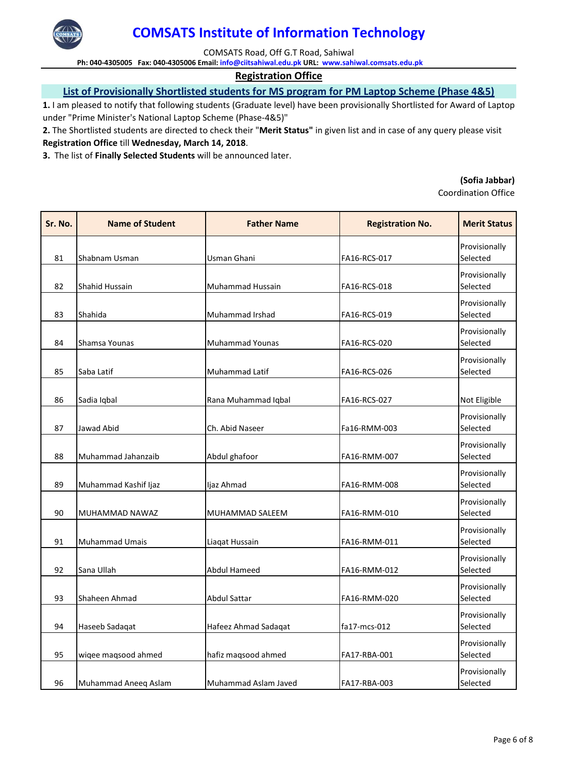

COMSATS Road, Off G.T Road, Sahiwal

**Ph: 040‐4305005 Fax: 040‐4305006 Email: info@ciitsahiwal.edu.pk URL: www.sahiwal.comsats.edu.pk**

### **Registration Office**

## **List of Provisionally Shortlisted students for MS program for PM Laptop Scheme (Phase 4&5)**

**1.** I am pleased to notify that following students (Graduate level) have been provisionally Shortlisted for Award of Laptop under "Prime Minister's National Laptop Scheme (Phase‐4&5)"

**2.** The Shortlisted students are directed to check their "**Merit Status"** in given list and in case of any query please visit **Registration Office** till **Wednesday, March 14, 2018**.

**3.** The list of **Finally Selected Students** will be announced later.

#### **(Sofia Jabbar)**

| Sr. No. | <b>Name of Student</b> | <b>Father Name</b>     | <b>Registration No.</b> | <b>Merit Status</b>       |
|---------|------------------------|------------------------|-------------------------|---------------------------|
| 81      | Shabnam Usman          | Usman Ghani            | FA16-RCS-017            | Provisionally<br>Selected |
| 82      | Shahid Hussain         | Muhammad Hussain       | FA16-RCS-018            | Provisionally<br>Selected |
| 83      | Shahida                | Muhammad Irshad        | FA16-RCS-019            | Provisionally<br>Selected |
| 84      | Shamsa Younas          | <b>Muhammad Younas</b> | FA16-RCS-020            | Provisionally<br>Selected |
| 85      | Saba Latif             | Muhammad Latif         | FA16-RCS-026            | Provisionally<br>Selected |
| 86      | Sadia Iqbal            | Rana Muhammad Iqbal    | FA16-RCS-027            | Not Eligible              |
| 87      | Jawad Abid             | Ch. Abid Naseer        | Fa16-RMM-003            | Provisionally<br>Selected |
| 88      | Muhammad Jahanzaib     | Abdul ghafoor          | FA16-RMM-007            | Provisionally<br>Selected |
| 89      | Muhammad Kashif Ijaz   | Ijaz Ahmad             | FA16-RMM-008            | Provisionally<br>Selected |
| 90      | MUHAMMAD NAWAZ         | MUHAMMAD SALEEM        | FA16-RMM-010            | Provisionally<br>Selected |
| 91      | Muhammad Umais         | Liaqat Hussain         | FA16-RMM-011            | Provisionally<br>Selected |
| 92      | Sana Ullah             | Abdul Hameed           | FA16-RMM-012            | Provisionally<br>Selected |
| 93      | Shaheen Ahmad          | <b>Abdul Sattar</b>    | FA16-RMM-020            | Provisionally<br>Selected |
| 94      | Haseeb Sadaqat         | Hafeez Ahmad Sadaqat   | fa17-mcs-012            | Provisionally<br>Selected |
| 95      | wiqee maqsood ahmed    | hafiz maqsood ahmed    | FA17-RBA-001            | Provisionally<br>Selected |
| 96      | Muhammad Aneeq Aslam   | Muhammad Aslam Javed   | FA17-RBA-003            | Provisionally<br>Selected |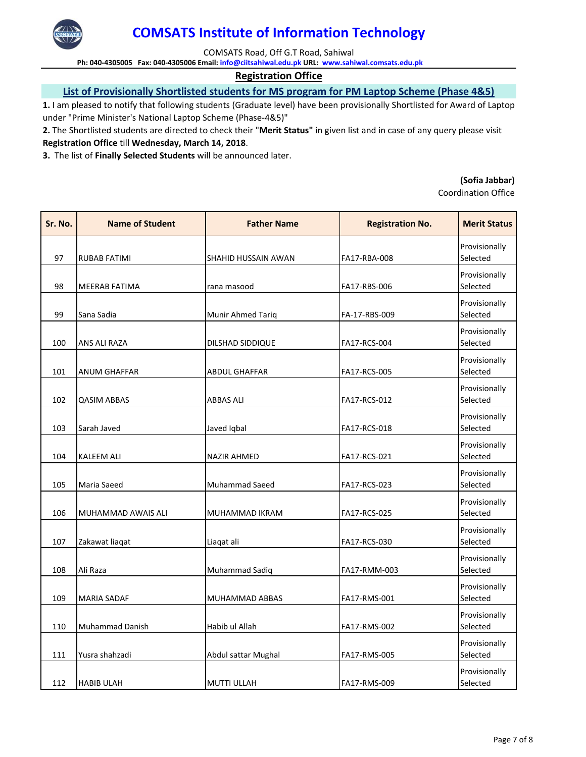

COMSATS Road, Off G.T Road, Sahiwal

**Ph: 040‐4305005 Fax: 040‐4305006 Email: info@ciitsahiwal.edu.pk URL: www.sahiwal.comsats.edu.pk**

### **Registration Office**

## **List of Provisionally Shortlisted students for MS program for PM Laptop Scheme (Phase 4&5)**

**1.** I am pleased to notify that following students (Graduate level) have been provisionally Shortlisted for Award of Laptop under "Prime Minister's National Laptop Scheme (Phase‐4&5)"

**2.** The Shortlisted students are directed to check their "**Merit Status"** in given list and in case of any query please visit **Registration Office** till **Wednesday, March 14, 2018**.

**3.** The list of **Finally Selected Students** will be announced later.

#### **(Sofia Jabbar)**

| Sr. No. | <b>Name of Student</b> | <b>Father Name</b>   | <b>Registration No.</b> | <b>Merit Status</b>       |
|---------|------------------------|----------------------|-------------------------|---------------------------|
| 97      | <b>RUBAB FATIMI</b>    | SHAHID HUSSAIN AWAN  | FA17-RBA-008            | Provisionally<br>Selected |
| 98      | MEERAB FATIMA          | rana masood          | FA17-RBS-006            | Provisionally<br>Selected |
| 99      | Sana Sadia             | Munir Ahmed Tariq    | FA-17-RBS-009           | Provisionally<br>Selected |
| 100     | ANS ALI RAZA           | DILSHAD SIDDIQUE     | FA17-RCS-004            | Provisionally<br>Selected |
| 101     | <b>ANUM GHAFFAR</b>    | <b>ABDUL GHAFFAR</b> | <b>FA17-RCS-005</b>     | Provisionally<br>Selected |
| 102     | <b>QASIM ABBAS</b>     | <b>ABBAS ALI</b>     | FA17-RCS-012            | Provisionally<br>Selected |
| 103     | Sarah Javed            | Javed Iqbal          | FA17-RCS-018            | Provisionally<br>Selected |
| 104     | <b>KALEEM ALI</b>      | <b>NAZIR AHMED</b>   | FA17-RCS-021            | Provisionally<br>Selected |
| 105     | Maria Saeed            | Muhammad Saeed       | FA17-RCS-023            | Provisionally<br>Selected |
| 106     | MUHAMMAD AWAIS ALI     | MUHAMMAD IKRAM       | FA17-RCS-025            | Provisionally<br>Selected |
| 107     | Zakawat liaqat         | Liaqat ali           | FA17-RCS-030            | Provisionally<br>Selected |
| 108     | Ali Raza               | Muhammad Sadiq       | FA17-RMM-003            | Provisionally<br>Selected |
| 109     | <b>MARIA SADAF</b>     | MUHAMMAD ABBAS       | FA17-RMS-001            | Provisionally<br>Selected |
| 110     | <b>Muhammad Danish</b> | Habib ul Allah       | FA17-RMS-002            | Provisionally<br>Selected |
| 111     | Yusra shahzadi         | Abdul sattar Mughal  | FA17-RMS-005            | Provisionally<br>Selected |
| 112     | <b>HABIB ULAH</b>      | <b>MUTTI ULLAH</b>   | FA17-RMS-009            | Provisionally<br>Selected |